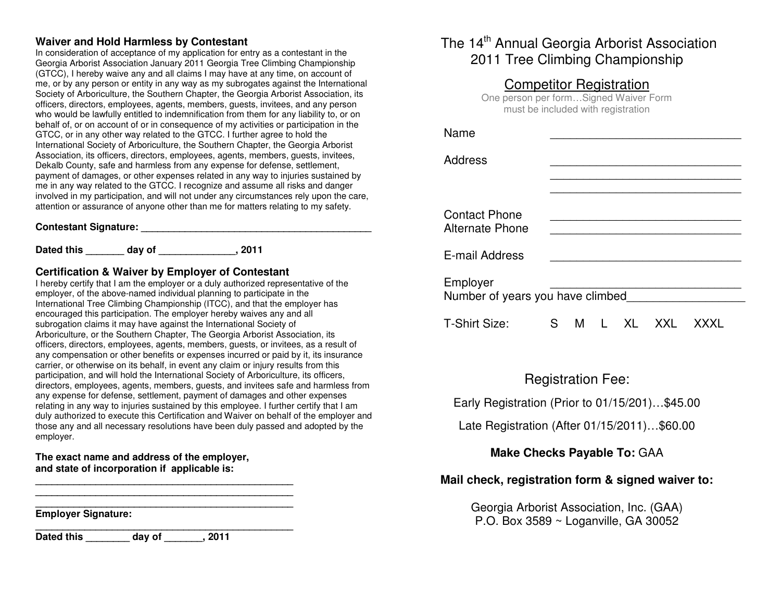## **Waiver and Hold Harmless by Contestant**

 In consideration of acceptance of my application for entry as a contestant in the Georgia Arborist Association January 2011 Georgia Tree Climbing Championship (GTCC), I hereby waive any and all claims I may have at any time, on account of me, or by any person or entity in any way as my subrogates against the International Society of Arboriculture, the Southern Chapter, the Georgia Arborist Association, its officers, directors, employees, agents, members, guests, invitees, and any person who would be lawfully entitled to indemnification from them for any liability to, or on behalf of, or on account of or in consequence of my activities or participation in the GTCC, or in any other way related to the GTCC. I further agree to hold the International Society of Arboriculture, the Southern Chapter, the Georgia Arborist Association, its officers, directors, employees, agents, members, guests, invitees, Dekalb County, safe and harmless from any expense for defense, settlement, payment of damages, or other expenses related in any way to injuries sustained by me in any way related to the GTCC. I recognize and assume all risks and danger involved in my participation, and will not under any circumstances rely upon the care, attention or assurance of anyone other than me for matters relating to my safety.

#### **Contestant Signature: \_\_\_\_\_\_\_\_\_\_\_\_\_\_\_\_\_\_\_\_\_\_\_\_\_\_\_\_\_\_\_\_\_\_\_\_\_\_\_\_\_\_**

**Dated this \_\_\_\_\_\_\_ day of \_\_\_\_\_\_\_\_\_\_\_\_\_\_, 2011** 

### **Certification & Waiver by Employer of Contestant**

 I hereby certify that I am the employer or a duly authorized representative of the employer, of the above-named individual planning to participate in the International Tree Climbing Championship (ITCC), and that the employer has encouraged this participation. The employer hereby waives any and all subrogation claims it may have against the International Society of Arboriculture, or the Southern Chapter, The Georgia Arborist Association, its officers, directors, employees, agents, members, guests, or invitees, as a result of any compensation or other benefits or expenses incurred or paid by it, its insurance carrier, or otherwise on its behalf, in event any claim or injury results from this participation, and will hold the International Society of Arboriculture, its officers, directors, employees, agents, members, guests, and invitees safe and harmless from any expense for defense, settlement, payment of damages and other expenses relating in any way to injuries sustained by this employee. I further certify that I am duly authorized to execute this Certification and Waiver on behalf of the employer and those any and all necessary resolutions have been duly passed and adopted by the employer.

### **The exact name and address of the employer, and state of incorporation if applicable is:**

**\_\_\_\_\_\_\_\_\_\_\_\_\_\_\_\_\_\_\_\_\_\_\_\_\_\_\_\_\_\_\_\_\_\_\_\_\_\_\_\_\_\_\_\_\_\_\_ \_\_\_\_\_\_\_\_\_\_\_\_\_\_\_\_\_\_\_\_\_\_\_\_\_\_\_\_\_\_\_\_\_\_\_\_\_\_\_\_\_\_\_\_\_\_\_** 

**\_\_\_\_\_\_\_\_\_\_\_\_\_\_\_\_\_\_\_\_\_\_\_\_\_\_\_\_\_\_\_\_\_\_\_\_\_\_\_\_\_\_\_\_\_\_\_ Employer Signature:** 

**\_\_\_\_\_\_\_\_\_\_\_\_\_\_\_\_\_\_\_\_\_\_\_\_\_\_\_\_\_\_\_\_\_\_\_\_\_\_\_\_\_\_\_\_\_\_\_ Dated this \_\_\_\_\_\_\_\_ day of \_\_\_\_\_\_\_, 2011**

# The 14<sup>th</sup> Annual Georgia Arborist Association 2011 Tree Climbing Championship

# Competitor Registration

 One person per form…Signed Waiver Form must be included with registration

| Name                                           |    |   |                 |    |     |  |  |  |
|------------------------------------------------|----|---|-----------------|----|-----|--|--|--|
| Address                                        |    |   |                 |    |     |  |  |  |
|                                                |    |   |                 |    |     |  |  |  |
| <b>Contact Phone</b><br><b>Alternate Phone</b> |    |   |                 |    |     |  |  |  |
| E-mail Address                                 |    |   |                 |    |     |  |  |  |
| Employer<br>Number of years you have climbed   |    |   |                 |    |     |  |  |  |
| T-Shirt Size:                                  | S. | M | <b>Contract</b> | XL | XXI |  |  |  |

## Registration Fee:

Early Registration (Prior to 01/15/201)…\$45.00

Late Registration (After 01/15/2011)…\$60.00

## **Make Checks Payable To:** GAA

## **Mail check, registration form & signed waiver to:**

Georgia Arborist Association, Inc. (GAA) P.O. Box 3589 ~ Loganville, GA 30052